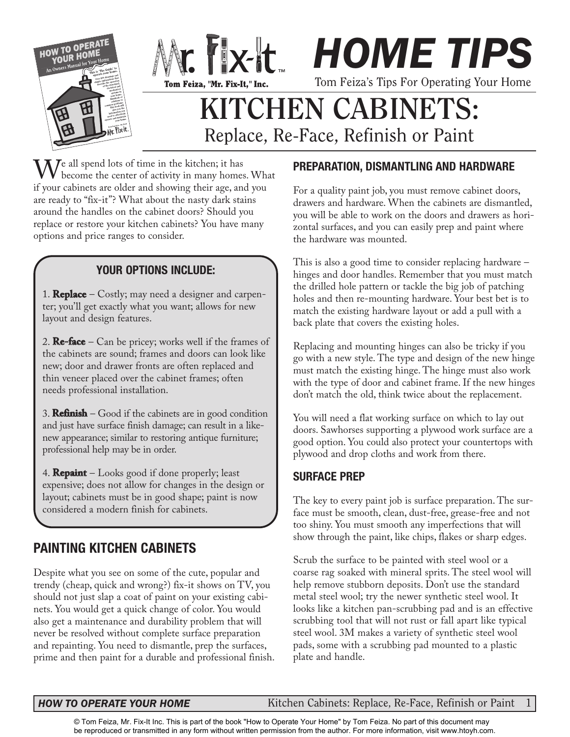

 $\mathbf{W}$ <sup>e</sup> all spend lots of time in the kitchen; it has become the center of activity in many homes. What if your cabinets are older and showing their age, and you are ready to "fix-it"? What about the nasty dark stains around the handles on the cabinet doors? Should you replace or restore your kitchen cabinets? You have many options and price ranges to consider.

### **YOUR OPTIONS INCLUDE:**

1. **Replace** – Costly; may need a designer and carpenter; you'll get exactly what you want; allows for new layout and design features.

2. **Re-face** – Can be pricey; works well if the frames of the cabinets are sound; frames and doors can look like new; door and drawer fronts are often replaced and thin veneer placed over the cabinet frames; often needs professional installation.

3. **Refinish** – Good if the cabinets are in good condition and just have surface finish damage; can result in a likenew appearance; similar to restoring antique furniture; professional help may be in order.

4. **Repaint** – Looks good if done properly; least expensive; does not allow for changes in the design or layout; cabinets must be in good shape; paint is now considered a modern finish for cabinets.

# **PAINTING KITCHEN CABINETS**

Despite what you see on some of the cute, popular and trendy (cheap, quick and wrong?) fix-it shows on TV, you should not just slap a coat of paint on your existing cabinets. You would get a quick change of color. You would also get a maintenance and durability problem that will never be resolved without complete surface preparation and repainting. You need to dismantle, prep the surfaces, prime and then paint for a durable and professional finish.

### **PREPARATION, DISMANTLING AND HARDWARE**

For a quality paint job, you must remove cabinet doors, drawers and hardware. When the cabinets are dismantled, you will be able to work on the doors and drawers as horizontal surfaces, and you can easily prep and paint where the hardware was mounted.

This is also a good time to consider replacing hardware – hinges and door handles. Remember that you must match the drilled hole pattern or tackle the big job of patching holes and then re-mounting hardware. Your best bet is to match the existing hardware layout or add a pull with a back plate that covers the existing holes.

Replacing and mounting hinges can also be tricky if you go with a new style. The type and design of the new hinge must match the existing hinge. The hinge must also work with the type of door and cabinet frame. If the new hinges don't match the old, think twice about the replacement.

You will need a flat working surface on which to lay out doors. Sawhorses supporting a plywood work surface are a good option. You could also protect your countertops with plywood and drop cloths and work from there.

### **SURFACE PREP**

The key to every paint job is surface preparation. The surface must be smooth, clean, dust-free, grease-free and not too shiny. You must smooth any imperfections that will show through the paint, like chips, flakes or sharp edges.

Scrub the surface to be painted with steel wool or a coarse rag soaked with mineral sprits. The steel wool will help remove stubborn deposits. Don't use the standard metal steel wool; try the newer synthetic steel wool. It looks like a kitchen pan-scrubbing pad and is an effective scrubbing tool that will not rust or fall apart like typical steel wool. 3M makes a variety of synthetic steel wool pads, some with a scrubbing pad mounted to a plastic plate and handle.

### *HOW TO OPERATE YOUR HOME*

Kitchen Cabinets: Replace, Re-Face, Refinish or Paint 1

© Tom Feiza, Mr. Fix-It Inc. This is part of the book "How to Operate Your Home" by Tom Feiza. No part of this document may [be reproduced or transmitted in any form without written permission from the author. For more information, visit www.htoyh.com.](http://htoyh.com)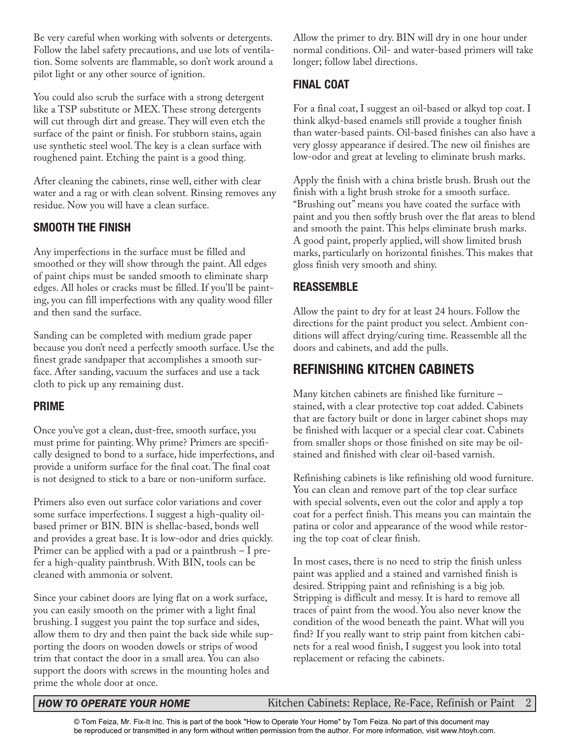Be very careful when working with solvents or detergents. Follow the label safety precautions, and use lots of ventilation. Some solvents are flammable, so don't work around a pilot light or any other source of ignition.

You could also scrub the surface with a strong detergent like a TSP substitute or MEX. These strong detergents will cut through dirt and grease. They will even etch the surface of the paint or finish. For stubborn stains, again use synthetic steel wool. The key is a clean surface with roughened paint. Etching the paint is a good thing.

After cleaning the cabinets, rinse well, either with clear water and a rag or with clean solvent. Rinsing removes any residue. Now you will have a clean surface.

### **SMOOTH THE FINISH**

Any imperfections in the surface must be filled and smoothed or they will show through the paint. All edges of paint chips must be sanded smooth to eliminate sharp edges. All holes or cracks must be filled. If you'll be painting, you can fill imperfections with any quality wood filler and then sand the surface.

Sanding can be completed with medium grade paper because you don't need a perfectly smooth surface. Use the finest grade sandpaper that accomplishes a smooth surface. After sanding, vacuum the surfaces and use a tack cloth to pick up any remaining dust.

### **PRIME**

Once you've got a clean, dust-free, smooth surface, you must prime for painting. Why prime? Primers are specifically designed to bond to a surface, hide imperfections, and provide a uniform surface for the final coat. The final coat is not designed to stick to a bare or non-uniform surface.

Primers also even out surface color variations and cover some surface imperfections. I suggest a high-quality oilbased primer or BIN. BIN is shellac-based, bonds well and provides a great base. It is low-odor and dries quickly. Primer can be applied with a pad or a paintbrush – I prefer a high-quality paintbrush. With BIN, tools can be cleaned with ammonia or solvent.

Since your cabinet doors are lying flat on a work surface, you can easily smooth on the primer with a light final brushing. I suggest you paint the top surface and sides, allow them to dry and then paint the back side while supporting the doors on wooden dowels or strips of wood trim that contact the door in a small area. You can also support the doors with screws in the mounting holes and prime the whole door at once.

Allow the primer to dry. BIN will dry in one hour under normal conditions. Oil- and water-based primers will take longer; follow label directions.

### **FINAL COAT**

For a final coat, I suggest an oil-based or alkyd top coat. I think alkyd-based enamels still provide a tougher finish than water-based paints. Oil-based finishes can also have a very glossy appearance if desired. The new oil finishes are low-odor and great at leveling to eliminate brush marks.

Apply the finish with a china bristle brush. Brush out the finish with a light brush stroke for a smooth surface. "Brushing out" means you have coated the surface with paint and you then softly brush over the flat areas to blend and smooth the paint. This helps eliminate brush marks. A good paint, properly applied, will show limited brush marks, particularly on horizontal finishes. This makes that gloss finish very smooth and shiny.

### **REASSEMBLE**

Allow the paint to dry for at least 24 hours. Follow the directions for the paint product you select. Ambient conditions will affect drying/curing time. Reassemble all the doors and cabinets, and add the pulls.

## **REFINISHING KITCHEN CABINETS**

Many kitchen cabinets are finished like furniture – stained, with a clear protective top coat added. Cabinets that are factory built or done in larger cabinet shops may be finished with lacquer or a special clear coat. Cabinets from smaller shops or those finished on site may be oilstained and finished with clear oil-based varnish.

Refinishing cabinets is like refinishing old wood furniture. You can clean and remove part of the top clear surface with special solvents, even out the color and apply a top coat for a perfect finish. This means you can maintain the patina or color and appearance of the wood while restoring the top coat of clear finish.

In most cases, there is no need to strip the finish unless paint was applied and a stained and varnished finish is desired. Stripping paint and refinishing is a big job. Stripping is difficult and messy. It is hard to remove all traces of paint from the wood. You also never know the condition of the wood beneath the paint. What will you find? If you really want to strip paint from kitchen cabinets for a real wood finish, I suggest you look into total replacement or refacing the cabinets.

**HOW TO OPERATE YOUR HOME** Kitchen Cabinets: Replace, Re-Face, Refinish or Paint 2

© Tom Feiza, Mr. Fix-It Inc. This is part of the book "How to Operate Your Home" by Tom Feiza. No part of this document may [be reproduced or transmitted in any form without written permission from the author. For more information, visit www.htoyh.com.](http://htoyh.com)